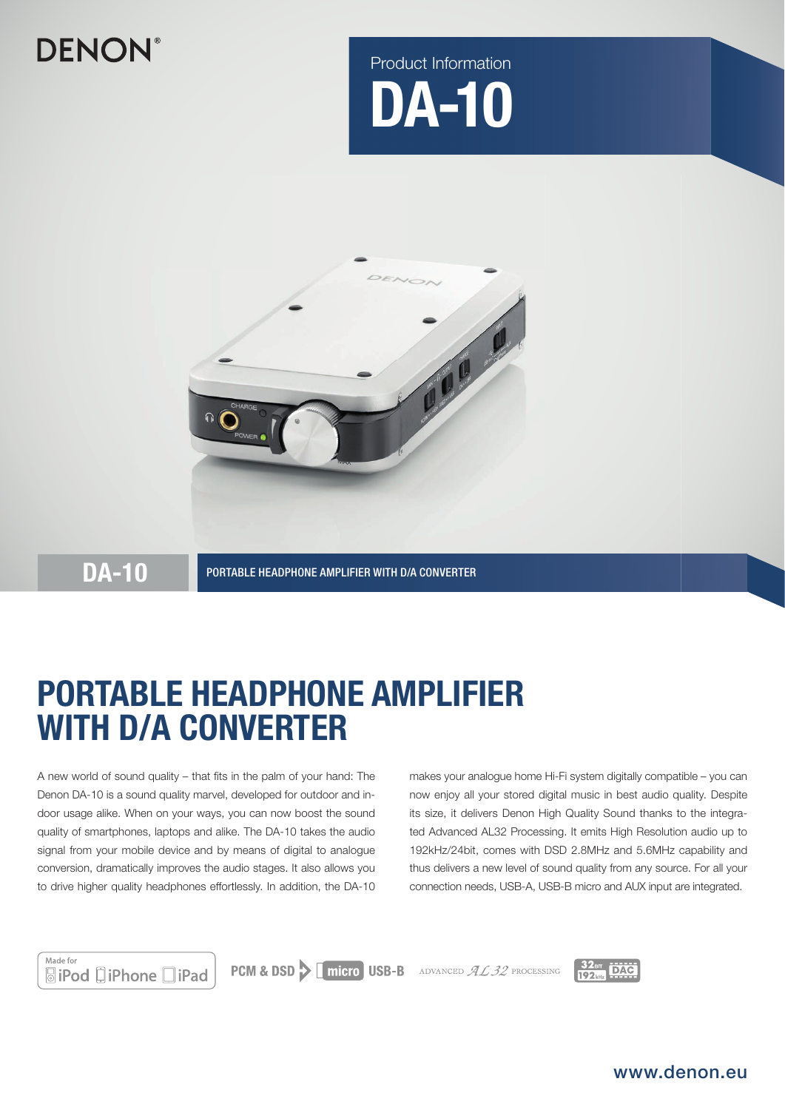# **DENON®**





DA-10 PORTABLE HEADPHONE AMPLIFIER WITH D/A CONVERTER

# PORTABLE HEADPHONE AMPLIFIER WITH D/A CONVERTER

A new world of sound quality  $-$  that fits in the palm of your hand: The Denon DA-10 is a sound quality marvel, developed for outdoor and indoor usage alike. When on your ways, you can now boost the sound quality of smartphones, laptops and alike. The DA-10 takes the audio signal from your mobile device and by means of digital to analogue conversion, dramatically improves the audio stages. It also allows you to drive higher quality headphones effortlessly. In addition, the DA-10 makes your analogue home Hi-Fi system digitally compatible – you can now enjoy all your stored digital music in best audio quality. Despite its size, it delivers Denon High Quality Sound thanks to the integrated Advanced AL32 Processing. It emits High Resolution audio up to 192kHz/24bit, comes with DSD 2.8MHz and 5.6MHz capability and thus delivers a new level of sound quality from any source. For all your connection needs, USB-A, USB-B micro and AUX input are integrated.



**PCM & DSD > | micro USB-B** ADVANCED  $AL32$  processing



www.denon.eu